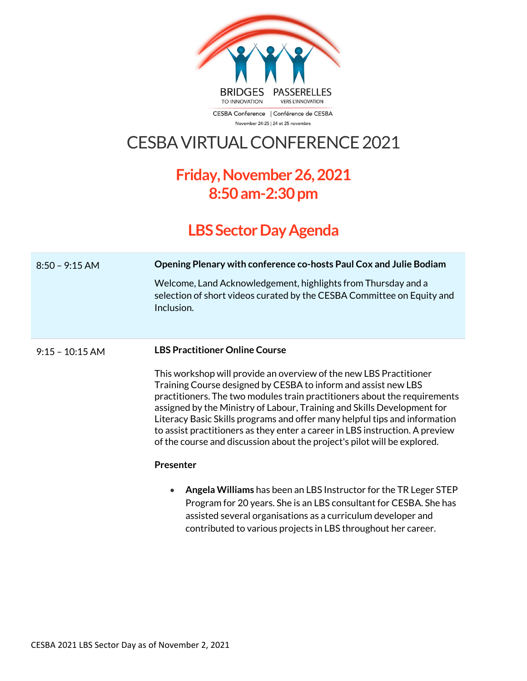

CESBA Conference | Conférence de CESBA November 24-25 | 24 et 25 novembre

## CESBA VIRTUAL CONFERENCE 2021

## **Friday,November 26, 2021 8:50 am-2:30 pm**

## **LBS Sector Day Agenda**

| $8:50 - 9:15$ AM  | Opening Plenary with conference co-hosts Paul Cox and Julie Bodiam                                                                                                                                                                                                                                                                                                                                                                                                                                                                     |
|-------------------|----------------------------------------------------------------------------------------------------------------------------------------------------------------------------------------------------------------------------------------------------------------------------------------------------------------------------------------------------------------------------------------------------------------------------------------------------------------------------------------------------------------------------------------|
|                   | Welcome, Land Acknowledgement, highlights from Thursday and a<br>selection of short videos curated by the CESBA Committee on Equity and<br>Inclusion.                                                                                                                                                                                                                                                                                                                                                                                  |
| $9:15 - 10:15$ AM | <b>LBS Practitioner Online Course</b>                                                                                                                                                                                                                                                                                                                                                                                                                                                                                                  |
|                   | This workshop will provide an overview of the new LBS Practitioner<br>Training Course designed by CESBA to inform and assist new LBS<br>practitioners. The two modules train practitioners about the requirements<br>assigned by the Ministry of Labour, Training and Skills Development for<br>Literacy Basic Skills programs and offer many helpful tips and information<br>to assist practitioners as they enter a career in LBS instruction. A preview<br>of the course and discussion about the project's pilot will be explored. |
|                   | <b>Presenter</b>                                                                                                                                                                                                                                                                                                                                                                                                                                                                                                                       |
|                   | Angela Williams has been an LBS Instructor for the TR Leger STEP<br>$\bullet$<br>Program for 20 years. She is an LBS consultant for CESBA. She has<br>assisted several organisations as a curriculum developer and                                                                                                                                                                                                                                                                                                                     |

contributed to various projects in LBS throughout her career.